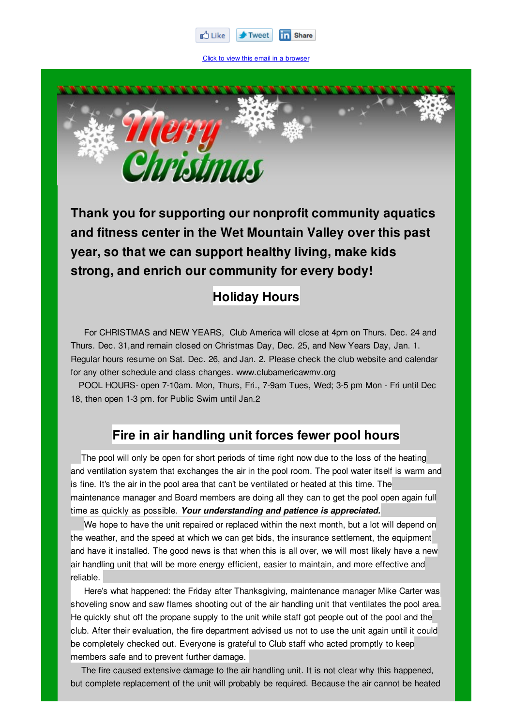

Click to view this email in a browser



**Thank you for supporting our nonprofit community aquatics and fitness center in the Wet Mountain Valley over this past year, so that we can support healthy living, make kids strong, and enrich our community for every body!**

## **Holiday Hours**

For CHRISTMAS and NEW YEARS, Club America will close at 4pm on Thurs. Dec. 24 and Thurs. Dec. 31,and remain closed on Christmas Day, Dec. 25, and New Years Day, Jan. 1. Regular hours resume on Sat. Dec. 26, and Jan. 2. Please check the club website and calendar for any other schedule and class changes. www.clubamericawmv.org

POOL HOURS- open 7-10am. Mon, Thurs, Fri., 7-9am Tues, Wed; 3-5 pm Mon - Fri until Dec 18, then open 1-3 pm. for Public Swim until Jan.2

### **Fire in air handling unit forces fewer pool hours**

The pool will only be open for short periods of time right now due to the loss of the heating and ventilation system that exchanges the air in the pool room. The pool water itself is warm and is fine. It's the air in the pool area that can't be ventilated or heated at this time. The maintenance manager and Board members are doing all they can to get the pool open again full time as quickly as possible. *Your understanding and patience is appreciated.*

We hope to have the unit repaired or replaced within the next month, but a lot will depend on the weather, and the speed at which we can get bids, the insurance settlement, the equipment and have it installed. The good news is that when this is all over, we will most likely have a new air handling unit that will be more energy efficient, easier to maintain, and more effective and reliable.

Here's what happened: the Friday after Thanksgiving, maintenance manager Mike Carter was shoveling snow and saw flames shooting out of the air handling unit that ventilates the pool area. He quickly shut off the propane supply to the unit while staff got people out of the pool and the club. After their evaluation, the fire department advised us not to use the unit again until it could be completely checked out. Everyone is grateful to Club staff who acted promptly to keep members safe and to prevent further damage.

The fire caused extensive damage to the air handling unit. It is not clear why this happened, but complete replacement of the unit will probably be required. Because the air cannot be heated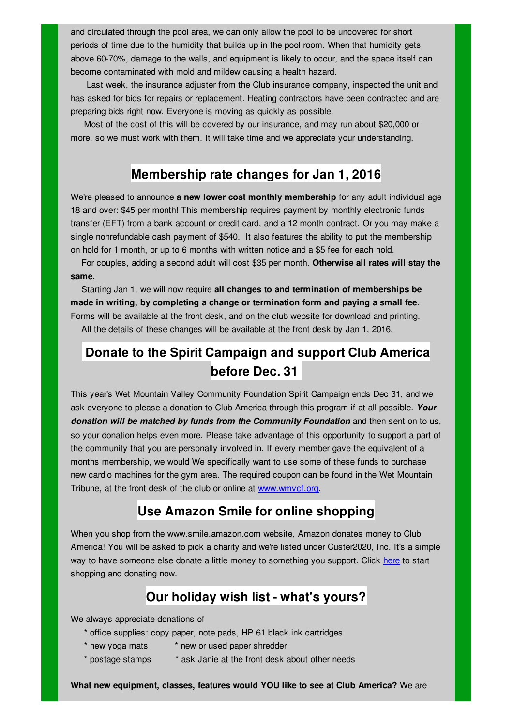and circulated through the pool area, we can only allow the pool to be uncovered for short periods of time due to the humidity that builds up in the pool room. When that humidity gets above 60-70%, damage to the walls, and equipment is likely to occur, and the space itself can become contaminated with mold and mildew causing a health hazard.

Last week, the insurance adjuster from the Club insurance company, inspected the unit and has asked for bids for repairs or replacement. Heating contractors have been contracted and are preparing bids right now. Everyone is moving as quickly as possible.

Most of the cost of this will be covered by our insurance, and may run about \$20,000 or more, so we must work with them. It will take time and we appreciate your understanding.

#### **Membership rate changes for Jan 1, 2016**

We're pleased to announce **a new lower cost monthly membership** for any adult individual age 18 and over: \$45 per month! This membership requires payment by monthly electronic funds transfer (EFT) from a bank account or credit card, and a 12 month contract. Or you may make a single nonrefundable cash payment of \$540. It also features the ability to put the membership on hold for 1 month, or up to 6 months with written notice and a \$5 fee for each hold.

For couples, adding a second adult will cost \$35 per month. **Otherwise all rates will stay the same.**

Starting Jan 1, we will now require **all changes to and termination of memberships be made in writing, by completing a change or termination form and paying a small fee**. Forms will be available at the front desk, and on the club website for download and printing.

All the details of these changes will be available at the front desk by Jan 1, 2016.

## **Donate to the Spirit Campaign and support Club America before Dec. 31**

This year's Wet Mountain Valley Community Foundation Spirit Campaign ends Dec 31, and we ask everyone to please a donation to Club America through this program if at all possible. *Your donation will be matched by funds from the Community Foundation* and then sent on to us, so your donation helps even more. Please take advantage of this opportunity to support a part of the community that you are personally involved in. If every member gave the equivalent of a months membership, we would We specifically want to use some of these funds to purchase new cardio machines for the gym area. The required coupon can be found in the Wet Mountain Tribune, at the front desk of the club or online at www.wmvcf.org.

### **Use Amazon Smile for online shopping**

When you shop from the www.smile.amazon.com website, Amazon donates money to Club America! You will be asked to pick a charity and we're listed under Custer2020, Inc. It's a simple way to have someone else donate a little money to something you support. Click here to start shopping and donating now.

### **Our holiday wish list - what's yours?**

We always appreciate donations of

- \* office supplies: copy paper, note pads, HP 61 black ink cartridges
- \* new yoga mats \* new or used paper shredder
- \* postage stamps \* ask Janie at the front desk about other needs

**What new equipment, classes, features would YOU like to see at Club America?** We are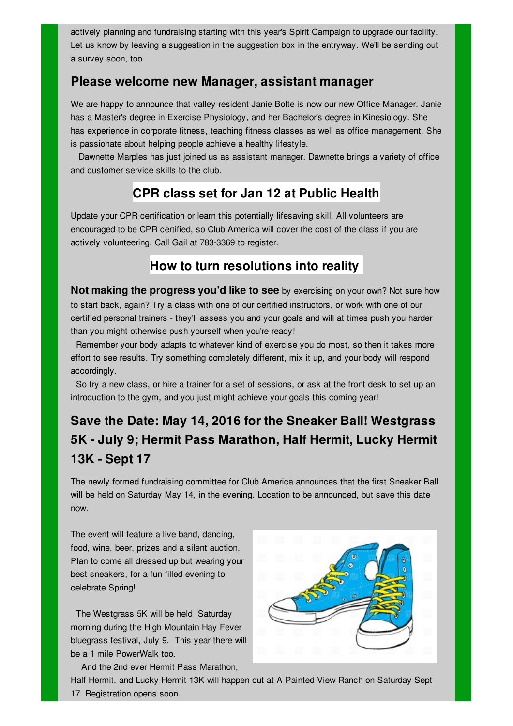actively planning and fundraising starting with this year's Spirit Campaign to upgrade our facility. Let us know by leaving a suggestion in the suggestion box in the entryway. We'll be sending out a survey soon, too.

#### **Please welcome new Manager, assistant manager**

We are happy to announce that valley resident Janie Bolte is now our new Office Manager. Janie has a Master's degree in Exercise Physiology, and her Bachelor's degree in Kinesiology. She has experience in corporate fitness, teaching fitness classes as well as office management. She is passionate about helping people achieve a healthy lifestyle.

Dawnette Marples has just joined us as assistant manager. Dawnette brings a variety of office and customer service skills to the club.

## **CPR class set for Jan 12 at Public Health**

Update your CPR certification or learn this potentially lifesaving skill. All volunteers are encouraged to be CPR certified, so Club America will cover the cost of the class if you are actively volunteering. Call Gail at 783-3369 to register.

### **How to turn resolutions into reality**

**Not making the progress you'd like to see** by exercising on your own? Not sure how to start back, again? Try a class with one of our certified instructors, or work with one of our certified personal trainers - they'll assess you and your goals and will at times push you harder than you might otherwise push yourself when you're ready!

Remember your body adapts to whatever kind of exercise you do most, so then it takes more effort to see results. Try something completely different, mix it up, and your body will respond accordingly.

So try a new class, or hire a trainer for a set of sessions, or ask at the front desk to set up an introduction to the gym, and you just might achieve your goals this coming year!

# **Save the Date: May 14, 2016 for the Sneaker Ball! Westgrass 5K - July 9; Hermit Pass Marathon, Half Hermit, Lucky Hermit 13K - Sept 17**

The newly formed fundraising committee for Club America announces that the first Sneaker Ball will be held on Saturday May 14, in the evening. Location to be announced, but save this date now.

The event will feature a live band, dancing, food, wine, beer, prizes and a silent auction. Plan to come all dressed up but wearing your best sneakers, for a fun filled evening to celebrate Spring!

The Westgrass 5K will be held Saturday morning during the High Mountain Hay Fever bluegrass festival, July 9. This year there will be a 1 mile PowerWalk too.

And the 2nd ever Hermit Pass Marathon,



Half Hermit, and Lucky Hermit 13K will happen out at A Painted View Ranch on Saturday Sept 17. Registration opens soon.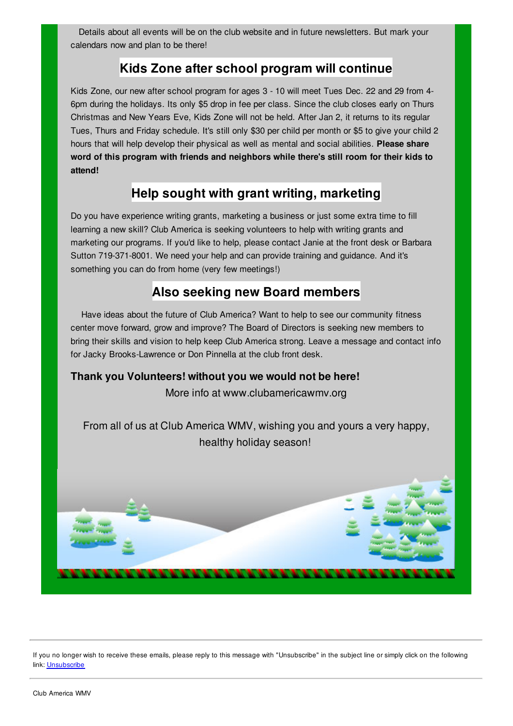Details about all events will be on the club website and in future newsletters. But mark your calendars now and plan to be there!

### **Kids Zone after school program will continue**

Kids Zone, our new after school program for ages 3 - 10 will meet Tues Dec. 22 and 29 from 4- 6pm during the holidays. Its only \$5 drop in fee per class. Since the club closes early on Thurs Christmas and New Years Eve, Kids Zone will not be held. After Jan 2, it returns to its regular Tues, Thurs and Friday schedule. It's still only \$30 per child per month or \$5 to give your child 2 hours that will help develop their physical as well as mental and social abilities. **Please share word of this program with friends and neighbors while there's still room for their kids to attend!**

### **Help sought with grant writing, marketing**

Do you have experience writing grants, marketing a business or just some extra time to fill learning a new skill? Club America is seeking volunteers to help with writing grants and marketing our programs. If you'd like to help, please contact Janie at the front desk or Barbara Sutton 719-371-8001. We need your help and can provide training and guidance. And it's something you can do from home (very few meetings!)

### **Also seeking new Board members**

Have ideas about the future of Club America? Want to help to see our community fitness center move forward, grow and improve? The Board of Directors is seeking new members to bring their skills and vision to help keep Club America strong. Leave a message and contact info for Jacky Brooks-Lawrence or Don Pinnella at the club front desk.

#### **Thank you Volunteers! without you we would not be here!**

More info at www.clubamericawmv.org

From all of us at Club America WMV, wishing you and yours a very happy, healthy holiday season!



If you no longer wish to receive these emails, please reply to this message with "Unsubscribe" in the subject line or simply click on the following link: Unsubscribe